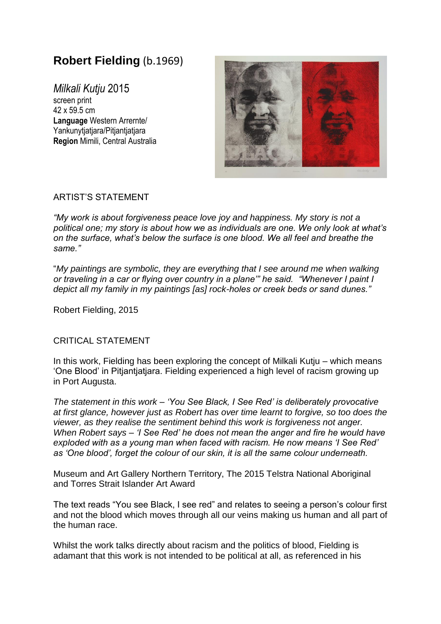## **Robert Fielding** (b.1969)

*Milkali Kutju* 2015 screen print 42 x 59.5 cm **Language** Western Arrernte/ Yankunytiatjara/Pitjantjatjara **Region** Mimili, Central Australia



## ARTIST'S STATEMENT

*"My work is about forgiveness peace love joy and happiness. My story is not a political one; my story is about how we as individuals are one. We only look at what's on the surface, what's below the surface is one blood. We all feel and breathe the same."*

"*My paintings are symbolic, they are everything that I see around me when walking or traveling in a car or flying over country in a plane'" he said. "Whenever I paint I depict all my family in my paintings [as] rock-holes or creek beds or sand dunes."*

Robert Fielding, 2015

## CRITICAL STATEMENT

In this work, Fielding has been exploring the concept of Milkali Kutju – which means 'One Blood' in Pitjantjatjara. Fielding experienced a high level of racism growing up in Port Augusta.

*The statement in this work – 'You See Black, I See Red' is deliberately provocative at first glance, however just as Robert has over time learnt to forgive, so too does the viewer, as they realise the sentiment behind this work is forgiveness not anger. When Robert says – 'I See Red' he does not mean the anger and fire he would have exploded with as a young man when faced with racism. He now means 'I See Red' as 'One blood', forget the colour of our skin, it is all the same colour underneath.*

Museum and Art Gallery Northern Territory, The 2015 Telstra National Aboriginal and Torres Strait Islander Art Award

The text reads "You see Black, I see red" and relates to seeing a person's colour first and not the blood which moves through all our veins making us human and all part of the human race.

Whilst the work talks directly about racism and the politics of blood, Fielding is adamant that this work is not intended to be political at all, as referenced in his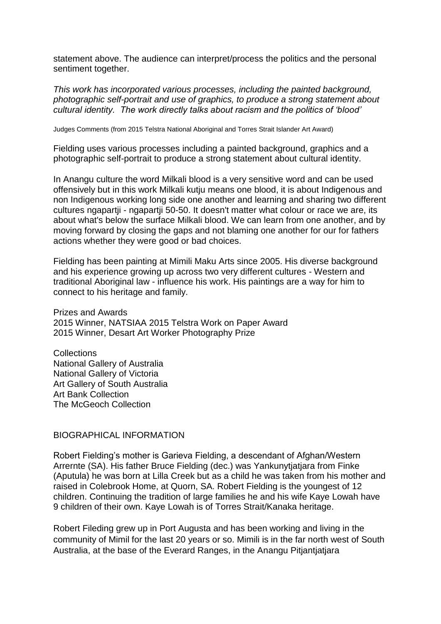statement above. The audience can interpret/process the politics and the personal sentiment together.

*This work has incorporated various processes, including the painted background, photographic self-portrait and use of graphics, to produce a strong statement about cultural identity. The work directly talks about racism and the politics of 'blood'*

Judges Comments (from 2015 Telstra National Aboriginal and Torres Strait Islander Art Award)

Fielding uses various processes including a painted background, graphics and a photographic self-portrait to produce a strong statement about cultural identity.

In Anangu culture the word Milkali blood is a very sensitive word and can be used offensively but in this work Milkali kutju means one blood, it is about Indigenous and non Indigenous working long side one another and learning and sharing two different cultures ngapartji - ngapartji 50-50. It doesn't matter what colour or race we are, its about what's below the surface Milkali blood. We can learn from one another, and by moving forward by closing the gaps and not blaming one another for our for fathers actions whether they were good or bad choices.

Fielding has been painting at Mimili Maku Arts since 2005. His diverse background and his experience growing up across two very different cultures - Western and traditional Aboriginal law - influence his work. His paintings are a way for him to connect to his heritage and family.

Prizes and Awards 2015 Winner, NATSIAA 2015 Telstra Work on Paper Award 2015 Winner, Desart Art Worker Photography Prize

**Collections** National Gallery of Australia National Gallery of Victoria Art Gallery of South Australia Art Bank Collection The McGeoch Collection

BIOGRAPHICAL INFORMATION

Robert Fielding's mother is Garieva Fielding, a descendant of Afghan/Western Arrernte (SA). His father Bruce Fielding (dec.) was Yankunytjatjara from Finke (Aputula) he was born at Lilla Creek but as a child he was taken from his mother and raised in Colebrook Home, at Quorn, SA. Robert Fielding is the youngest of 12 children. Continuing the tradition of large families he and his wife Kaye Lowah have 9 children of their own. Kaye Lowah is of Torres Strait/Kanaka heritage.

Robert Fileding grew up in Port Augusta and has been working and living in the community of Mimil for the last 20 years or so. Mimili is in the far north west of South Australia, at the base of the Everard Ranges, in the Anangu Pitjantjatjara